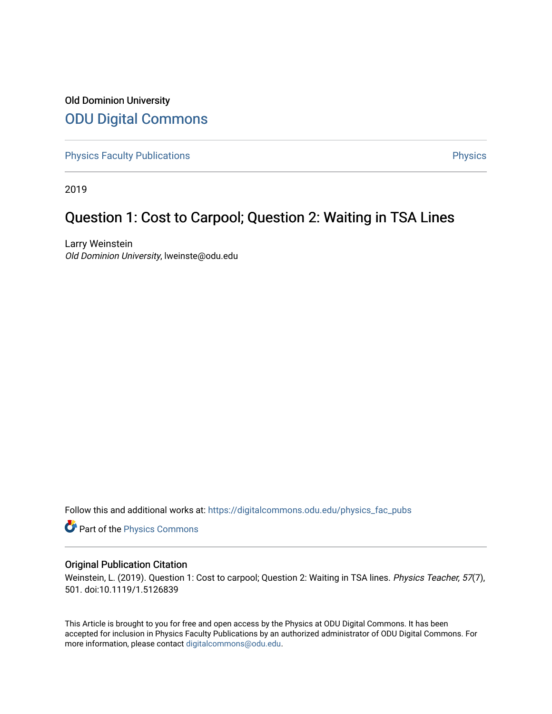### Old Dominion University [ODU Digital Commons](https://digitalcommons.odu.edu/)

[Physics Faculty Publications](https://digitalcommons.odu.edu/physics_fac_pubs) **Physics** [Physics](https://digitalcommons.odu.edu/physics) Physics

2019

## Question 1: Cost to Carpool; Question 2: Waiting in TSA Lines

Larry Weinstein Old Dominion University, lweinste@odu.edu

Follow this and additional works at: [https://digitalcommons.odu.edu/physics\\_fac\\_pubs](https://digitalcommons.odu.edu/physics_fac_pubs?utm_source=digitalcommons.odu.edu%2Fphysics_fac_pubs%2F400&utm_medium=PDF&utm_campaign=PDFCoverPages) 

Part of the [Physics Commons](http://network.bepress.com/hgg/discipline/193?utm_source=digitalcommons.odu.edu%2Fphysics_fac_pubs%2F400&utm_medium=PDF&utm_campaign=PDFCoverPages)

#### Original Publication Citation

Weinstein, L. (2019). Question 1: Cost to carpool; Question 2: Waiting in TSA lines. Physics Teacher, 57(7), 501. doi:10.1119/1.5126839

This Article is brought to you for free and open access by the Physics at ODU Digital Commons. It has been accepted for inclusion in Physics Faculty Publications by an authorized administrator of ODU Digital Commons. For more information, please contact [digitalcommons@odu.edu.](mailto:digitalcommons@odu.edu)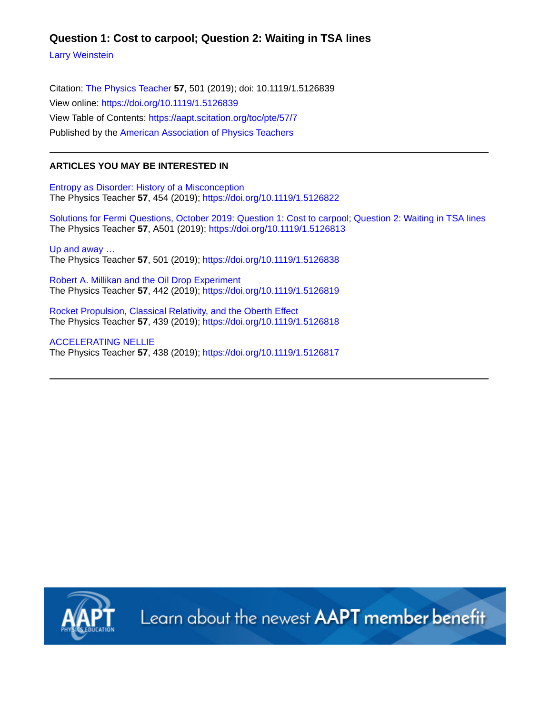### **Question 1: Cost to carpool; Question 2: Waiting in TSA lines**

[Larry Weinstein](https://aapt.scitation.org/author/Weinstein%2C+Larry)

Citation: [The Physics Teacher](/loi/pte) **57**, 501 (2019); doi: 10.1119/1.5126839 View online:<https://doi.org/10.1119/1.5126839> View Table of Contents:<https://aapt.scitation.org/toc/pte/57/7> Published by the [American Association of Physics Teachers](https://aapt.scitation.org/publisher/)

#### **ARTICLES YOU MAY BE INTERESTED IN**

[Entropy as Disorder: History of a Misconception](https://aapt.scitation.org/doi/10.1119/1.5126822) The Physics Teacher **57**, 454 (2019); <https://doi.org/10.1119/1.5126822>

[Solutions for Fermi Questions, October 2019: Question 1: Cost to carpool; Question 2: Waiting in TSA lines](https://aapt.scitation.org/doi/10.1119/1.5126813) The Physics Teacher **57**, A501 (2019);<https://doi.org/10.1119/1.5126813>

[Up and away …](https://aapt.scitation.org/doi/10.1119/1.5126838) The Physics Teacher **57**, 501 (2019); <https://doi.org/10.1119/1.5126838>

[Robert A. Millikan and the Oil Drop Experiment](https://aapt.scitation.org/doi/10.1119/1.5126819) The Physics Teacher **57**, 442 (2019); <https://doi.org/10.1119/1.5126819>

[Rocket Propulsion, Classical Relativity, and the Oberth Effect](https://aapt.scitation.org/doi/10.1119/1.5126818) The Physics Teacher **57**, 439 (2019); <https://doi.org/10.1119/1.5126818>

[ACCELERATING NELLIE](https://aapt.scitation.org/doi/10.1119/1.5126817) The Physics Teacher **57**, 438 (2019); <https://doi.org/10.1119/1.5126817>